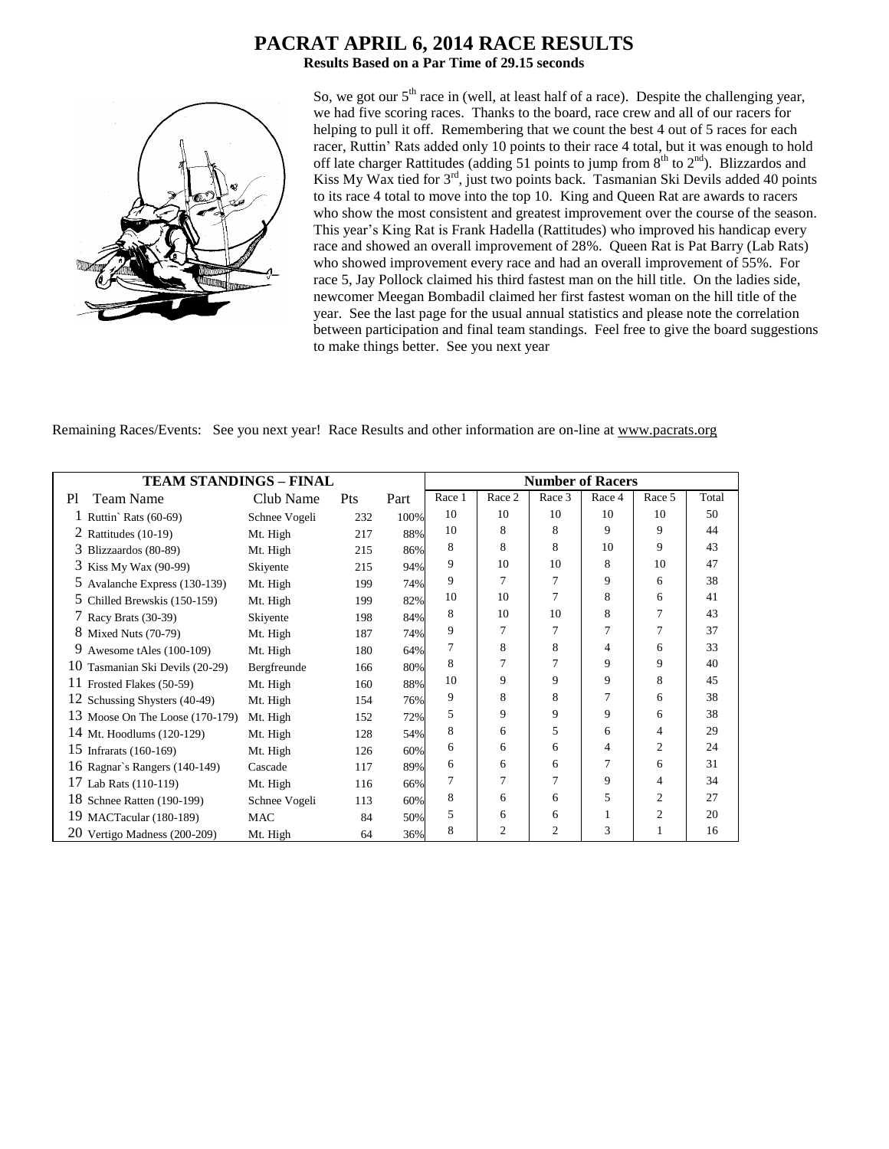# **PACRAT APRIL 6, 2014 RACE RESULTS**

**Results Based on a Par Time of 29.15 seconds**



So, we got our  $5<sup>th</sup>$  race in (well, at least half of a race). Despite the challenging year, we had five scoring races. Thanks to the board, race crew and all of our racers for helping to pull it off. Remembering that we count the best 4 out of 5 races for each racer, Ruttin' Rats added only 10 points to their race 4 total, but it was enough to hold off late charger Rattitudes (adding 51 points to jump from  $8<sup>th</sup>$  to  $2<sup>nd</sup>$ ). Blizzardos and Kiss My Wax tied for  $3<sup>rd</sup>$ , just two points back. Tasmanian Ski Devils added 40 points to its race 4 total to move into the top 10. King and Queen Rat are awards to racers who show the most consistent and greatest improvement over the course of the season. This year's King Rat is Frank Hadella (Rattitudes) who improved his handicap every race and showed an overall improvement of 28%. Queen Rat is Pat Barry (Lab Rats) who showed improvement every race and had an overall improvement of 55%. For race 5, Jay Pollock claimed his third fastest man on the hill title. On the ladies side, newcomer Meegan Bombadil claimed her first fastest woman on the hill title of the year. See the last page for the usual annual statistics and please note the correlation between participation and final team standings. Feel free to give the board suggestions to make things better. See you next year

Remaining Races/Events: See you next year! Race Results and other information are on-line at www.pacrats.org

|                                    | TEAM STANDINGS – FINAL |     |      |        | <b>Number of Racers</b> |                |                |                |       |
|------------------------------------|------------------------|-----|------|--------|-------------------------|----------------|----------------|----------------|-------|
| <b>Team Name</b><br>P <sub>1</sub> | Club Name              | Pts | Part | Race 1 | Race 2                  | Race 3         | Race 4         | Race 5         | Total |
| 1 Ruttin' Rats $(60-69)$           | Schnee Vogeli          | 232 | 100% | 10     | 10                      | 10             | 10             | 10             | 50    |
| 2 Rattitudes $(10-19)$             | Mt. High               | 217 | 88%  | 10     | 8                       | 8              | 9              | 9              | 44    |
| 3 Blizzaardos (80-89)              | Mt. High               | 215 | 86%  | 8      | 8                       | 8              | 10             | 9              | 43    |
| 3 Kiss My Wax (90-99)              | Skiyente               | 215 | 94%  | 9      | 10                      | 10             | 8              | 10             | 47    |
| 5 Avalanche Express (130-139)      | Mt. High               | 199 | 74%  | 9      | 7                       | 7              | 9              | 6              | 38    |
| 5 Chilled Brewskis (150-159)       | Mt. High               | 199 | 82%  | 10     | 10                      | 7              | 8              | 6              | 41    |
| 7 Racy Brats (30-39)               | Skiyente               | 198 | 84%  | 8      | 10                      | 10             | 8              | 7              | 43    |
| 8 Mixed Nuts (70-79)               | Mt. High               | 187 | 74%  | 9      | 7                       | 7              | 7              | 7              | 37    |
| 9<br>Awesome tAles (100-109)       | Mt. High               | 180 | 64%  | 7      | 8                       | 8              | 4              | 6              | 33    |
| 10 Tasmanian Ski Devils (20-29)    | Bergfreunde            | 166 | 80%  | 8      | 7                       | 7              | 9              | 9              | 40    |
| 11 Frosted Flakes (50-59)          | Mt. High               | 160 | 88%  | 10     | 9                       | 9              | 9              | 8              | 45    |
| 12 Schussing Shysters (40-49)      | Mt. High               | 154 | 76%  | 9      | 8                       | 8              | 7              | 6              | 38    |
| 13 Moose On The Loose (170-179)    | Mt. High               | 152 | 72%  | 5      | 9                       | 9              | 9              | 6              | 38    |
| 14 Mt. Hoodlums (120-129)          | Mt. High               | 128 | 54%  | 8      | 6                       | 5              | 6              | 4              | 29    |
| 15 Infrarats (160-169)             | Mt. High               | 126 | 60%  | 6      | 6                       | 6              | $\overline{4}$ | $\overline{2}$ | 24    |
| 16 Ragnar's Rangers (140-149)      | Cascade                | 117 | 89%  | 6      | 6                       | 6              | 7              | 6              | 31    |
| 17 Lab Rats (110-119)              | Mt. High               | 116 | 66%  | 7      | 7                       | 7              | 9              | 4              | 34    |
| 18 Schnee Ratten (190-199)         | Schnee Vogeli          | 113 | 60%  | 8      | 6                       | 6              | 5              | $\overline{c}$ | 27    |
| 19 MACTacular (180-189)            | <b>MAC</b>             | 84  | 50%  | 5      | 6                       | 6              | 1              | $\overline{2}$ | 20    |
| 20 Vertigo Madness (200-209)       | Mt. High               | 64  | 36%  | 8      | 2                       | $\overline{c}$ | 3              |                | 16    |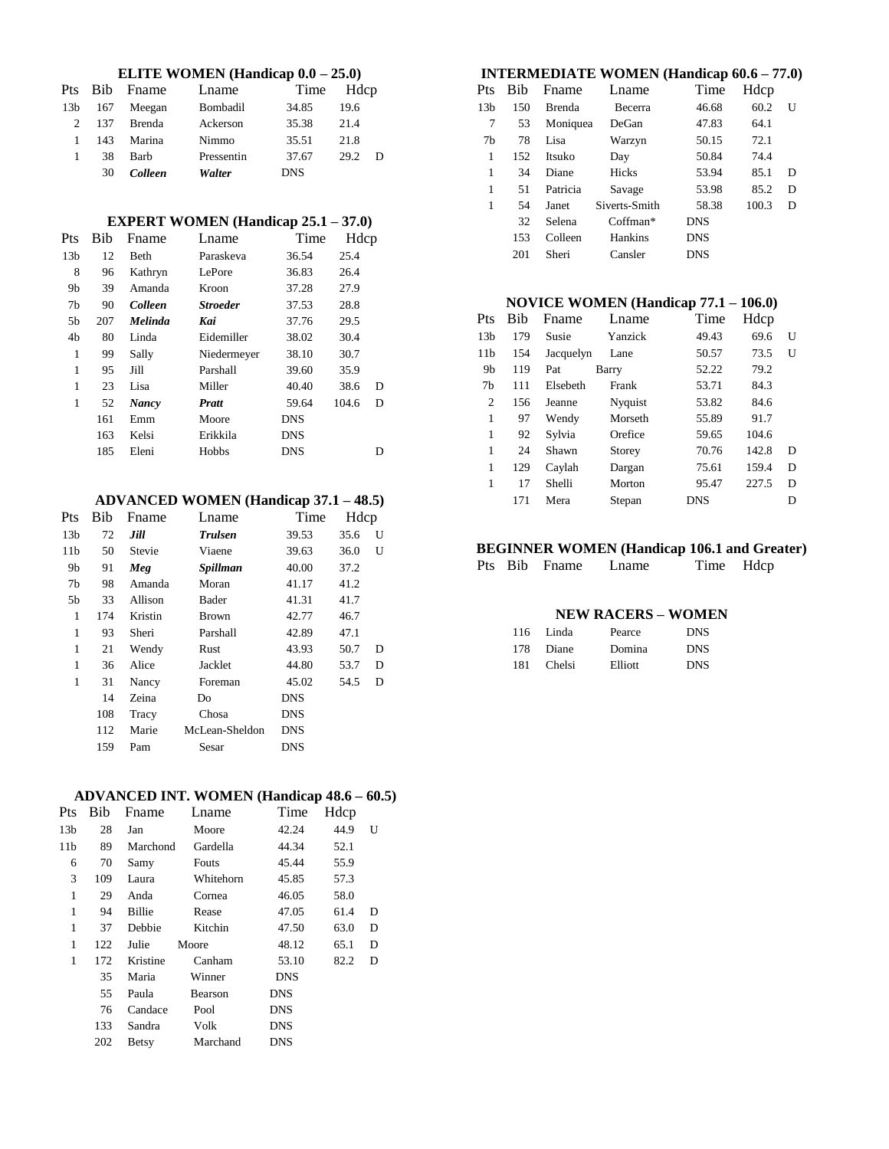# **ELITE WOMEN (Handicap 0.0 – 25.0)**

|                 |     | Pts Bib Fname | Lname      | Time Hdcp  |      |  |
|-----------------|-----|---------------|------------|------------|------|--|
| 13 <sub>b</sub> | 167 | Meegan        | Bombadil   | 34.85      | 19.6 |  |
| $2^{\circ}$     | 137 | Brenda        | Ackerson   | 35.38      | 21.4 |  |
|                 | 143 | Marina        | Nimmo      | 35.51      | 21.8 |  |
|                 | 38  | Barb          | Pressentin | 37.67      | 29.2 |  |
|                 | 30  | Colleen       | Walter     | <b>DNS</b> |      |  |

# **EXPERT WOMEN (Handicap 25.1 – 37.0)**

| Pts             | Bib | Fname          | Lname           | Time       | Hdcp  |   |
|-----------------|-----|----------------|-----------------|------------|-------|---|
| 13 <sub>b</sub> | 12  | Beth           | Paraskeva       | 36.54      | 25.4  |   |
| 8               | 96  | Kathryn        | <b>LePore</b>   | 36.83      | 26.4  |   |
| 9b              | 39  | Amanda         | Kroon           | 37.28      | 27.9  |   |
| 7b              | 90  | Colleen        | <b>Stroeder</b> | 37.53      | 28.8  |   |
| 5b              | 207 | <b>Melinda</b> | Kai             | 37.76      | 29.5  |   |
| 4b              | 80  | Linda          | Eidemiller      | 38.02      | 30.4  |   |
| 1               | 99  | Sally          | Niedermeyer     | 38.10      | 30.7  |   |
| 1               | 95  | Jill           | Parshall        | 39.60      | 35.9  |   |
| 1               | 23  | Lisa           | Miller          | 40.40      | 38.6  | D |
| 1               | 52  | <b>Nancy</b>   | <b>Pratt</b>    | 59.64      | 104.6 | D |
|                 | 161 | Emm            | Moore           | <b>DNS</b> |       |   |
|                 | 163 | Kelsi          | Erikkila        | <b>DNS</b> |       |   |
|                 | 185 | Eleni          | Hobbs           | <b>DNS</b> |       | D |
|                 |     |                |                 |            |       |   |

# **ADVANCED WOMEN (Handicap 37.1 – 48.5)**

| Pts             | Bib | Fname   | Lname          | Time       | Hdcp |   |
|-----------------|-----|---------|----------------|------------|------|---|
| 13 <sub>b</sub> | 72  | Jill    | <b>Trulsen</b> | 39.53      | 35.6 | U |
| 11 <sub>b</sub> | 50  | Stevie  | Viaene         | 39.63      | 36.0 | U |
| 9b              | 91  | Meg     | Spillman       | 40.00      | 37.2 |   |
| 7b              | 98  | Amanda  | Moran          | 41.17      | 41.2 |   |
| 5b              | 33  | Allison | Bader          | 41.31      | 41.7 |   |
| 1               | 174 | Kristin | <b>Brown</b>   | 42.77      | 46.7 |   |
| 1               | 93  | Sheri   | Parshall       | 42.89      | 47.1 |   |
| 1               | 21  | Wendy   | Rust           | 43.93      | 50.7 | D |
| 1               | 36  | Alice   | Jacklet        | 44.80      | 53.7 | D |
| 1               | 31  | Nancy   | Foreman        | 45.02      | 54.5 | D |
|                 | 14  | Zeina   | Do             | <b>DNS</b> |      |   |
|                 | 108 | Tracy   | Chosa          | <b>DNS</b> |      |   |
|                 | 112 | Marie   | McLean-Sheldon | <b>DNS</b> |      |   |
|                 | 159 | Pam     | Sesar          | DNS        |      |   |

# **ADVANCED INT. WOMEN (Handicap 48.6 – 60.5)**

| <b>Pts</b>      | Bib | Fname        | Lname     | Time       | Hdcp |   |
|-----------------|-----|--------------|-----------|------------|------|---|
| 13 <sub>b</sub> | 28  | Jan          | Moore     | 42.24      | 44.9 | U |
| 11 <sub>b</sub> | 89  | Marchond     | Gardella  | 44.34      | 52.1 |   |
| 6               | 70  | Samy         | Fouts     | 45.44      | 55.9 |   |
| 3               | 109 | Laura        | Whitehorn | 45.85      | 57.3 |   |
| 1               | 29  | Anda         | Cornea    | 46.05      | 58.0 |   |
| 1               | 94  | Billie       | Rease     | 47.05      | 61.4 | D |
| $\mathbf{1}$    | 37  | Debbie       | Kitchin   | 47.50      | 63.0 | D |
| 1               | 122 | Julie        | Moore     | 48.12      | 65.1 | D |
| 1               | 172 | Kristine     | Canham    | 53.10      | 82.2 | D |
|                 | 35  | Maria        | Winner    | <b>DNS</b> |      |   |
|                 | 55  | Paula        | Bearson   | <b>DNS</b> |      |   |
|                 | 76  | Candace      | Pool      | <b>DNS</b> |      |   |
|                 | 133 | Sandra       | Volk      | <b>DNS</b> |      |   |
|                 | 202 | <b>Betsy</b> | Marchand  | <b>DNS</b> |      |   |

# **INTERMEDIATE WOMEN (Handicap 60.6 – 77.0)**

| Pts             | <b>Bib</b> | Fname         | Lname         | Time       | Hdcp  |   |
|-----------------|------------|---------------|---------------|------------|-------|---|
| 13 <sub>b</sub> | 150        | <b>Brenda</b> | Becerra       | 46.68      | 60.2  | U |
| 7               | 53         | Moniquea      | DeGan         | 47.83      | 64.1  |   |
| 7b              | 78         | Lisa          | Warzyn        | 50.15      | 72.1  |   |
| 1               | 152        | Itsuko        | Day           | 50.84      | 74.4  |   |
| 1               | 34         | Diane         | Hicks         | 53.94      | 85.1  | D |
| 1               | 51         | Patricia      | Savage        | 53.98      | 85.2  | D |
| 1               | 54         | Janet         | Siverts-Smith | 58.38      | 100.3 | D |
|                 | 32         | Selena        | Coffman*      | DNS        |       |   |
|                 | 153        | Colleen       | Hankins       | DNS        |       |   |
|                 | 201        | Sheri         | Cansler       | <b>DNS</b> |       |   |

# **NOVICE WOMEN (Handicap 77.1 – 106.0)**

| Pts             | Bih | Fname     | Lname   | Time       | Hdcp  |   |
|-----------------|-----|-----------|---------|------------|-------|---|
| 13 <sub>b</sub> | 179 | Susie     | Yanzick | 49.43      | 69.6  | U |
| 11 <sub>b</sub> | 154 | Jacquelyn | Lane    | 50.57      | 73.5  | U |
| 9b              | 119 | Pat       | Barry   | 52.22      | 79.2  |   |
| 7b              | 111 | Elsebeth  | Frank   | 53.71      | 84.3  |   |
| 2               | 156 | Jeanne    | Nyquist | 53.82      | 84.6  |   |
| 1               | 97  | Wendy     | Morseth | 55.89      | 91.7  |   |
| 1               | 92  | Sylvia    | Orefice | 59.65      | 104.6 |   |
| 1               | 24  | Shawn     | Storey  | 70.76      | 142.8 | D |
| 1               | 129 | Caylah    | Dargan  | 75.61      | 159.4 | D |
| 1               | 17  | Shelli    | Morton  | 95.47      | 227.5 | D |
|                 | 171 | Mera      | Stepan  | <b>DNS</b> |       | D |

# **BEGINNER WOMEN (Handicap 106.1 and Greater)**<br>Pts Bib Fname Lname Time Hdcp

Pts Bib Fname Lname

# **NEW RACERS – WOMEN**

|     | 116 Linda | Pearce  | <b>DNS</b> |
|-----|-----------|---------|------------|
|     | 178 Diane | Domina  | <b>DNS</b> |
| 181 | Chelsi    | Elliott | <b>DNS</b> |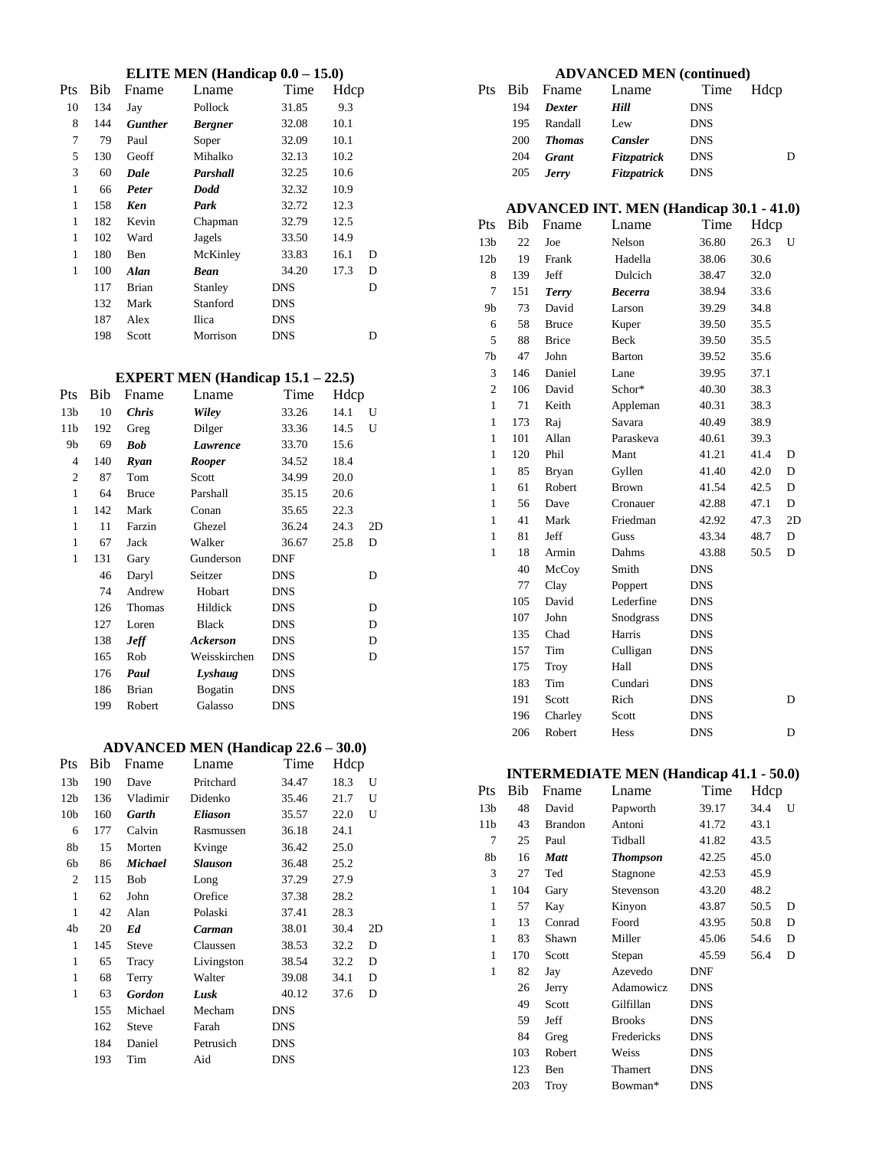# **ELITE MEN (Handicap 0.0 – 15.0)**

|              |     |                | ЕЕТТЕ МЕТУ (Папакар 0.0 |            | 10.V |   |
|--------------|-----|----------------|-------------------------|------------|------|---|
| Pts          | Bib | Fname          | Lname                   | Time       | Hdcp |   |
| 10           | 134 | Jay            | Pollock                 | 31.85      | 9.3  |   |
| 8            | 144 | <b>Gunther</b> | <b>Bergner</b>          | 32.08      | 10.1 |   |
| 7            | 79  | Paul           | Soper                   | 32.09      | 10.1 |   |
| 5            | 130 | Geoff          | Mihalko                 | 32.13      | 10.2 |   |
| 3            | 60  | Dale           | Parshall                | 32.25      | 10.6 |   |
| 1            | 66  | Peter          | <b>Dodd</b>             | 32.32      | 10.9 |   |
| $\mathbf{1}$ | 158 | Ken            | Park                    | 32.72      | 12.3 |   |
| 1            | 182 | Kevin          | Chapman                 | 32.79      | 12.5 |   |
| 1            | 102 | Ward           | Jagels                  | 33.50      | 14.9 |   |
| 1            | 180 | Ben            | McKinley                | 33.83      | 16.1 | D |
| 1            | 100 | <b>Alan</b>    | <b>Bean</b>             | 34.20      | 17.3 | D |
|              | 117 | <b>Brian</b>   | Stanley                 | <b>DNS</b> |      | D |
|              | 132 | Mark           | Stanford                | <b>DNS</b> |      |   |
|              | 187 | Alex           | Ilica                   | <b>DNS</b> |      |   |
|              | 198 | Scott          | Morrison                | <b>DNS</b> |      | D |

#### **EXPERT MEN (Handicap 15.1 – 22.5)**

| Pts             | Bib | Fname        | Lname        | Time       | Hdcp |    |
|-----------------|-----|--------------|--------------|------------|------|----|
| 13 <sub>b</sub> | 10  | <b>Chris</b> | Wiley        | 33.26      | 14.1 | U  |
| 11 <sub>b</sub> | 192 | Greg         | Dilger       | 33.36      | 14.5 | U  |
| 9b              | 69  | <b>Bob</b>   | Lawrence     | 33.70      | 15.6 |    |
| 4               | 140 | Ryan         | Rooper       | 34.52      | 18.4 |    |
| $\mathfrak{2}$  | 87  | Tom          | Scott        | 34.99      | 20.0 |    |
| $\mathbf{1}$    | 64  | <b>Bruce</b> | Parshall     | 35.15      | 20.6 |    |
| $\mathbf{1}$    | 142 | Mark         | Conan        | 35.65      | 22.3 |    |
| $\mathbf{1}$    | 11  | Farzin       | Ghezel       | 36.24      | 24.3 | 2D |
| 1               | 67  | Jack         | Walker       | 36.67      | 25.8 | D  |
| $\mathbf{1}$    | 131 | Gary         | Gunderson    | <b>DNF</b> |      |    |
|                 | 46  | Daryl        | Seitzer      | DNS        |      | D  |
|                 | 74  | Andrew       | Hobart       | DNS        |      |    |
|                 | 126 | Thomas       | Hildick      | <b>DNS</b> |      | D  |
|                 | 127 | Loren        | <b>Black</b> | DNS        |      | D  |
|                 | 138 | <b>Jeff</b>  | Ackerson     | DNS        |      | D  |
|                 | 165 | Rob          | Weisskirchen | DNS        |      | D  |
|                 | 176 | Paul         | Lyshaug      | DNS        |      |    |
|                 | 186 | <b>Brian</b> | Bogatin      | DNS        |      |    |
|                 | 199 | Robert       | Galasso      | <b>DNS</b> |      |    |

# **ADVANCED MEN (Handicap 22.6 – 30.0)**

| Pts             | Bib | Fname         | Lname          | Time       | Hdcp |    |
|-----------------|-----|---------------|----------------|------------|------|----|
| 13 <sub>b</sub> | 190 | Dave          | Pritchard      | 34.47      | 18.3 | U  |
| 12 <sub>b</sub> | 136 | Vladimir      | Didenko        | 35.46      | 21.7 | U  |
| 10 <sub>b</sub> | 160 | Garth         | <b>Eliason</b> | 35.57      | 22.0 | U  |
| 6               | 177 | Calvin        | Rasmussen      | 36.18      | 24.1 |    |
| 8b              | 15  | Morten        | Kvinge         | 36.42      | 25.0 |    |
| 6b              | 86  | Michael       | <b>Slauson</b> | 36.48      | 25.2 |    |
| 2               | 115 | <b>Bob</b>    | Long           | 37.29      | 27.9 |    |
| 1               | 62  | John          | Orefice        | 37.38      | 28.2 |    |
| $\mathbf{1}$    | 42  | Alan          | Polaski        | 37.41      | 28.3 |    |
| 4b              | 20  | Ed            | Carman         | 38.01      | 30.4 | 2D |
| 1               | 145 | <b>Steve</b>  | Claussen       | 38.53      | 32.2 | D  |
| 1               | 65  | Tracy         | Livingston     | 38.54      | 32.2 | D  |
| 1               | 68  | Terry         | Walter         | 39.08      | 34.1 | D  |
| 1               | 63  | <b>Gordon</b> | Lusk           | 40.12      | 37.6 | D  |
|                 | 155 | Michael       | Mecham         | DNS        |      |    |
|                 | 162 | <b>Steve</b>  | Farah          | <b>DNS</b> |      |    |
|                 | 184 | Daniel        | Petrusich      | DNS        |      |    |
|                 | 193 | Tim           | Aid            | <b>DNS</b> |      |    |
|                 |     |               |                |            |      |    |

# **ADVANCED MEN (continued)**

| Pts |     | Bib Fname     | Lname       | Time       | Hdcp |
|-----|-----|---------------|-------------|------------|------|
|     | 194 | <b>Dexter</b> | Hill        | <b>DNS</b> |      |
|     | 195 | Randall       | Lew         | <b>DNS</b> |      |
|     | 200 | <b>Thomas</b> | Cansler     | <b>DNS</b> |      |
|     | 204 | Grant         | Fitzpatrick | <b>DNS</b> | D    |
|     | 205 | <b>Jerry</b>  | Fitzpatrick | <b>DNS</b> |      |
|     |     |               |             |            |      |

# **ADVANCED INT. MEN (Handicap 30.1 - 41.0)**

| Pts             | Bib | Fname        | Lname          | Time       | Hdcp |    |
|-----------------|-----|--------------|----------------|------------|------|----|
| 13 <sub>b</sub> | 22  | Joe          | Nelson         | 36.80      | 26.3 | U  |
| 12 <sub>b</sub> | 19  | Frank        | Hadella        | 38.06      | 30.6 |    |
| 8               | 139 | Jeff         | Dulcich        | 38.47      | 32.0 |    |
| $\overline{7}$  | 151 | <b>Terry</b> | <b>Becerra</b> | 38.94      | 33.6 |    |
| 9b              | 73  | David        | Larson         | 39.29      | 34.8 |    |
| 6               | 58  | <b>Bruce</b> | Kuper          | 39.50      | 35.5 |    |
| 5               | 88  | <b>Brice</b> | Beck           | 39.50      | 35.5 |    |
| 7b              | 47  | John         | <b>Barton</b>  | 39.52      | 35.6 |    |
| 3               | 146 | Daniel       | Lane           | 39.95      | 37.1 |    |
| $\overline{c}$  | 106 | David        | Schor*         | 40.30      | 38.3 |    |
| $\mathbf{1}$    | 71  | Keith        | Appleman       | 40.31      | 38.3 |    |
| $\mathbf{1}$    | 173 | Raj          | Savara         | 40.49      | 38.9 |    |
| 1               | 101 | Allan        | Paraskeva      | 40.61      | 39.3 |    |
| $\mathbf{1}$    | 120 | Phil         | Mant           | 41.21      | 41.4 | D  |
| $\mathbf{1}$    | 85  | <b>Bryan</b> | Gyllen         | 41.40      | 42.0 | D  |
| 1               | 61  | Robert       | <b>Brown</b>   | 41.54      | 42.5 | D  |
| $\mathbf{1}$    | 56  | Dave         | Cronauer       | 42.88      | 47.1 | D  |
| $\mathbf{1}$    | 41  | Mark         | Friedman       | 42.92      | 47.3 | 2D |
| 1               | 81  | Jeff         | Guss           | 43.34      | 48.7 | D  |
| $\mathbf{1}$    | 18  | Armin        | Dahms          | 43.88      | 50.5 | D  |
|                 | 40  | McCoy        | Smith          | <b>DNS</b> |      |    |
|                 | 77  | Clay         | Poppert        | <b>DNS</b> |      |    |
|                 | 105 | David        | Lederfine      | <b>DNS</b> |      |    |
|                 | 107 | John         | Snodgrass      | <b>DNS</b> |      |    |
|                 | 135 | Chad         | Harris         | <b>DNS</b> |      |    |
|                 | 157 | Tim          | Culligan       | <b>DNS</b> |      |    |
|                 | 175 | Troy         | Hall           | <b>DNS</b> |      |    |
|                 | 183 | Tim          | Cundari        | <b>DNS</b> |      |    |
|                 | 191 | Scott        | Rich           | <b>DNS</b> |      | D  |
|                 | 196 | Charley      | Scott          | <b>DNS</b> |      |    |
|                 | 206 | Robert       | Hess           | <b>DNS</b> |      | D  |

# **INTERMEDIATE MEN (Handicap 41.1 - 50.0)**

| Pts             | Bib | Fname          | Lname           | Time       | Hdcp |   |
|-----------------|-----|----------------|-----------------|------------|------|---|
| 13 <sub>b</sub> | 48  | David          | Papworth        | 39.17      | 34.4 | U |
| 11 <sub>b</sub> | 43  | <b>Brandon</b> | Antoni          | 41.72      | 43.1 |   |
| 7               | 25  | Paul           | Tidball         | 41.82      | 43.5 |   |
| 8b              | 16  | <b>Matt</b>    | <b>Thompson</b> | 42.25      | 45.0 |   |
| 3               | 27  | Ted            | Stagnone        | 42.53      | 45.9 |   |
| $\mathbf{1}$    | 104 | Gary           | Stevenson       | 43.20      | 48.2 |   |
| 1               | 57  | Kay            | Kinyon          | 43.87      | 50.5 | D |
| 1               | 13  | Conrad         | Foord           | 43.95      | 50.8 | D |
| 1               | 83  | Shawn          | Miller          | 45.06      | 54.6 | D |
| 1               | 170 | Scott          | Stepan          | 45.59      | 56.4 | D |
| 1               | 82  | Jay            | Azevedo         | <b>DNF</b> |      |   |
|                 | 26  | Jerry          | Adamowicz       | <b>DNS</b> |      |   |
|                 | 49  | Scott          | Gilfillan       | <b>DNS</b> |      |   |
|                 | 59  | Jeff           | <b>Brooks</b>   | <b>DNS</b> |      |   |
|                 | 84  | Greg           | Fredericks      | <b>DNS</b> |      |   |
|                 | 103 | Robert         | Weiss           | <b>DNS</b> |      |   |
|                 | 123 | Ben            | Thamert         | <b>DNS</b> |      |   |
|                 | 203 | Troy           | Bowman*         | <b>DNS</b> |      |   |
|                 |     |                |                 |            |      |   |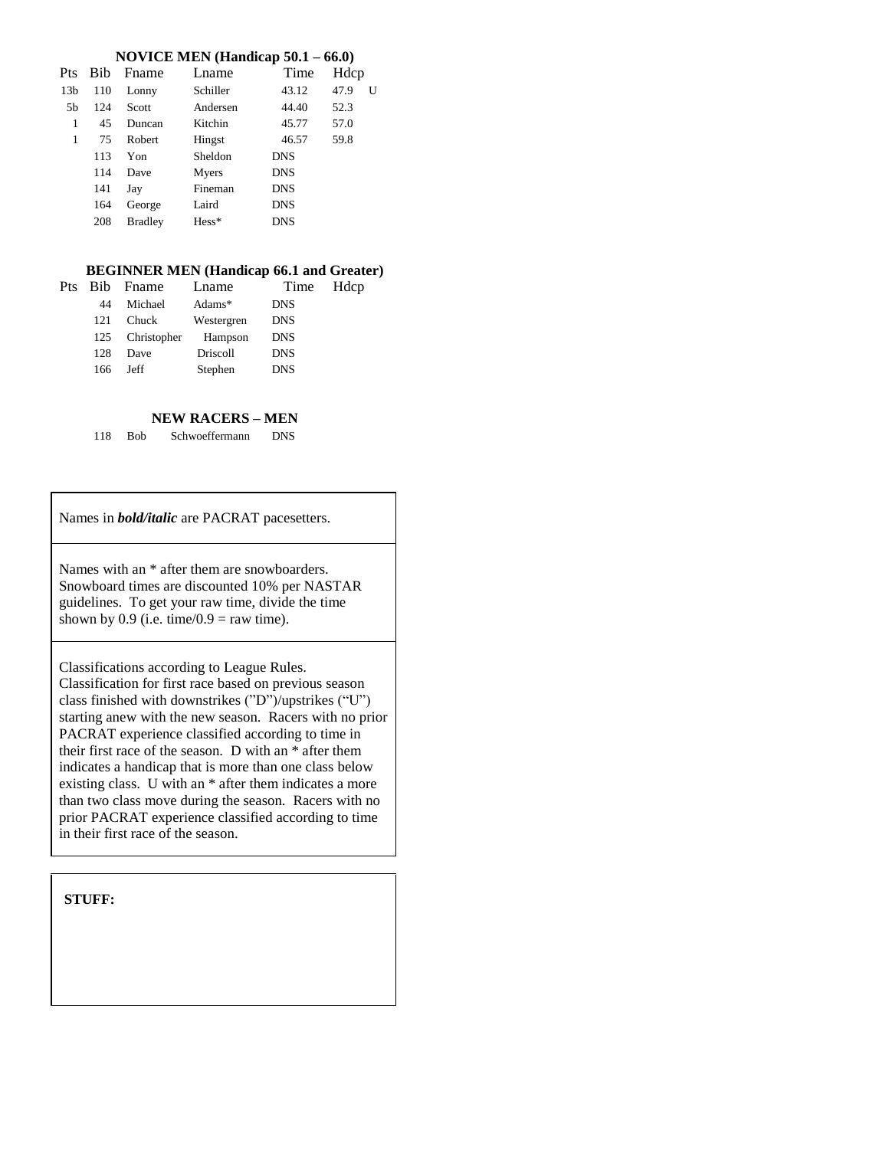### **NOVICE MEN (Handicap 50.1 – 66.0)**

| Pts             | <b>Bib</b> | Fname          | Lname    | Time       | Hdcp |   |
|-----------------|------------|----------------|----------|------------|------|---|
| 13 <sub>b</sub> | 110        | Lonny          | Schiller | 43.12      | 47.9 | U |
| 5b              | 124        | Scott          | Andersen | 44.40      | 52.3 |   |
| 1               | 45         | Duncan         | Kitchin  | 45.77      | 57.0 |   |
| 1               | 75         | Robert         | Hingst   | 46.57      | 59.8 |   |
|                 | 113        | Yon            | Sheldon  | <b>DNS</b> |      |   |
|                 | 114        | Dave           | Myers    | <b>DNS</b> |      |   |
|                 | 141        | Jay            | Fineman  | <b>DNS</b> |      |   |
|                 | 164        | George         | Laird    | <b>DNS</b> |      |   |
|                 | 208        | <b>Bradley</b> | $Hess*$  | <b>DNS</b> |      |   |

### **BEGINNER MEN (Handicap 66.1 and Greater)**

| Pts |     | Bib Fname    | Lname           | Time       | Hdcp |
|-----|-----|--------------|-----------------|------------|------|
|     | 44  | Michael      | Adams $*$       | <b>DNS</b> |      |
|     | 121 | <b>Chuck</b> | Westergren      | <b>DNS</b> |      |
|     | 125 | Christopher  | Hampson         | <b>DNS</b> |      |
|     | 128 | Dave         | <b>Driscoll</b> | <b>DNS</b> |      |
|     | 166 | Jeff         | Stephen         | <b>DNS</b> |      |
|     |     |              |                 |            |      |

### **NEW RACERS – MEN**

118 Bob Schwoeffermann DNS

Names in *bold/italic* are PACRAT pacesetters.

Names with an \* after them are snowboarders. Snowboard times are discounted 10% per NASTAR guidelines. To get your raw time, divide the time shown by 0.9 (i.e. time/ $0.9$  = raw time).

Classifications according to League Rules. Classification for first race based on previous season class finished with downstrikes ("D")/upstrikes ("U") starting anew with the new season. Racers with no prior PACRAT experience classified according to time in their first race of the season. D with an \* after them indicates a handicap that is more than one class below existing class. U with an \* after them indicates a more than two class move during the season. Racers with no prior PACRAT experience classified according to time in their first race of the season.

**STUFF:**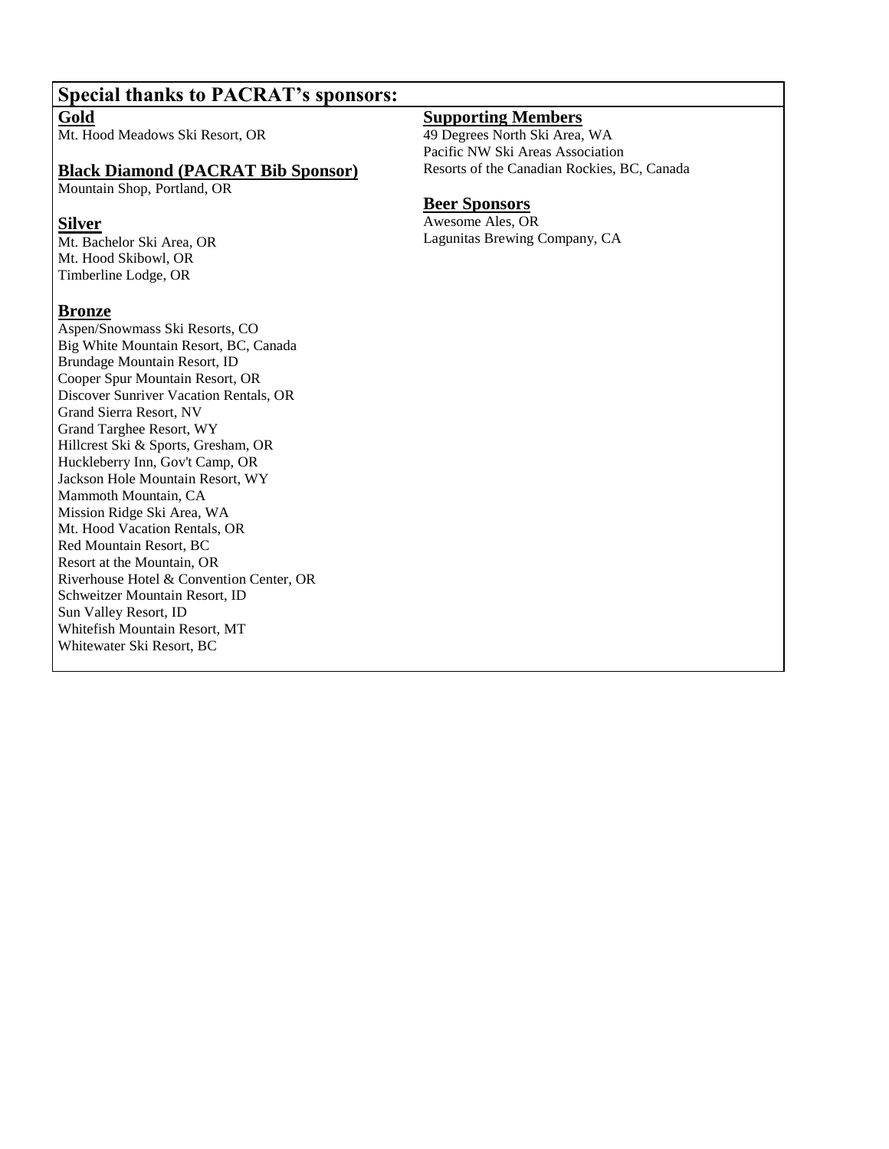# **Special thanks to PACRAT's sponsors:**

**Gold**

Mt. Hood Meadows Ski Resort, OR

# **Black Diamond (PACRAT Bib Sponsor)**

Mountain Shop, Portland, OR

# **Silver**

Mt. Bachelor Ski Area, OR Mt. Hood Skibowl, OR Timberline Lodge, OR

# **Bronze**

Aspen/Snowmass Ski Resorts, CO Big White Mountain Resort, BC, Canada Brundage Mountain Resort, ID Cooper Spur Mountain Resort, OR Discover Sunriver Vacation Rentals, OR Grand Sierra Resort, NV Grand Targhee Resort, WY Hillcrest Ski & Sports, Gresham, OR Huckleberry Inn, Gov't Camp, OR Jackson Hole Mountain Resort, WY Mammoth Mountain, CA Mission Ridge Ski Area, WA Mt. Hood Vacation Rentals, OR Red Mountain Resort, BC Resort at the Mountain, OR Riverhouse Hotel & Convention Center, OR Schweitzer Mountain Resort, ID Sun Valley Resort, ID Whitefish Mountain Resort, MT Whitewater Ski Resort, BC

# **Supporting Members**

49 Degrees North Ski Area, WA Pacific NW Ski Areas Association Resorts of the Canadian Rockies, BC, Canada

# **Beer Sponsors**

Awesome Ales, OR Lagunitas Brewing Company, CA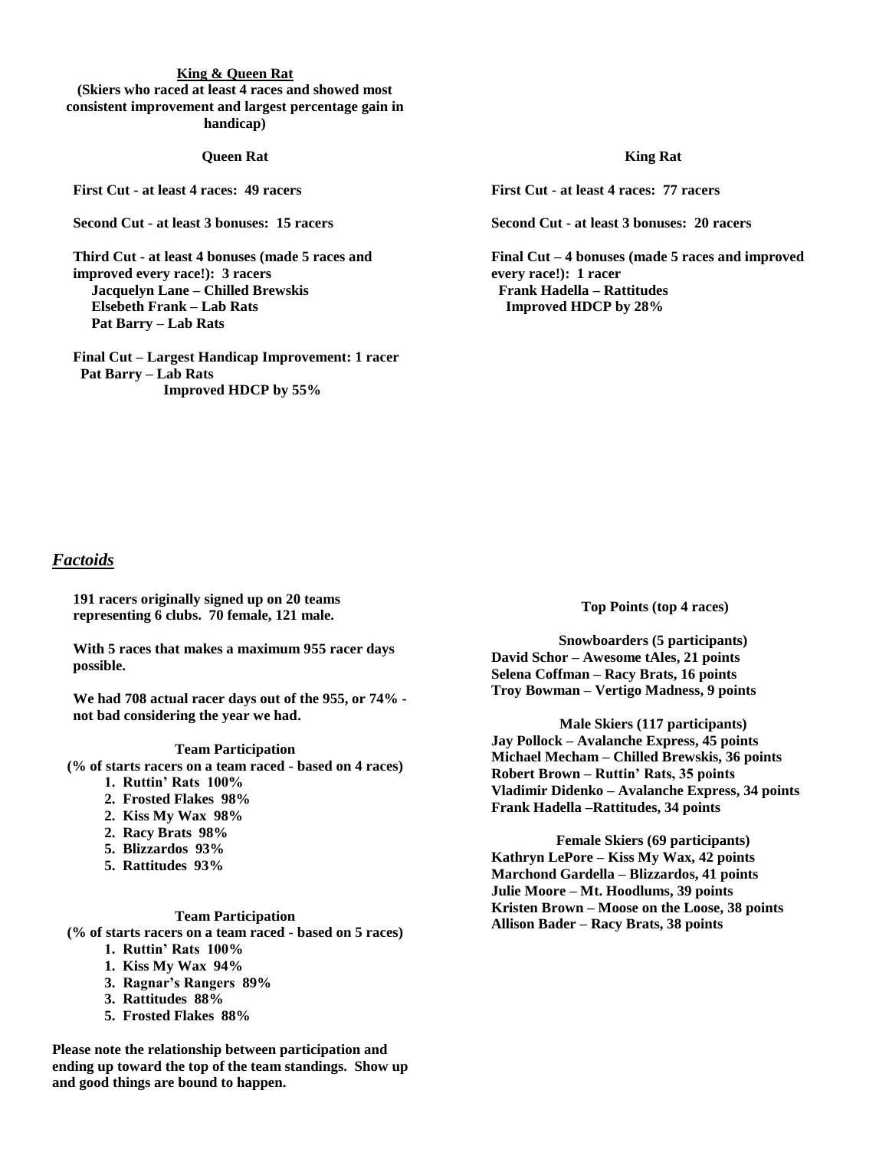#### **King & Queen Rat**

**(Skiers who raced at least 4 races and showed most consistent improvement and largest percentage gain in handicap)**

#### **Queen Rat**

**First Cut - at least 4 races: 49 racers**

**Second Cut - at least 3 bonuses: 15 racers** 

**Third Cut - at least 4 bonuses (made 5 races and improved every race!): 3 racers Jacquelyn Lane – Chilled Brewskis Elsebeth Frank – Lab Rats Pat Barry – Lab Rats**

**Final Cut – Largest Handicap Improvement: 1 racer Pat Barry – Lab Rats Improved HDCP by 55%**

#### **King Rat**

**First Cut - at least 4 races: 77 racers**

**Second Cut - at least 3 bonuses: 20 racers** 

**Final Cut – 4 bonuses (made 5 races and improved every race!): 1 racer Frank Hadella – Rattitudes Improved HDCP by 28%**

# *Factoids*

**191 racers originally signed up on 20 teams representing 6 clubs. 70 female, 121 male.**

**With 5 races that makes a maximum 955 racer days possible.** 

**We had 708 actual racer days out of the 955, or 74% not bad considering the year we had.**

#### **Team Participation**

**(% of starts racers on a team raced - based on 4 races)**

- **1. Ruttin' Rats 100%**
- **2. Frosted Flakes 98%**
- **2. Kiss My Wax 98%**
- **2. Racy Brats 98%**
- **5. Blizzardos 93%**
- **5. Rattitudes 93%**
- - **Team Participation**

**(% of starts racers on a team raced - based on 5 races)**

- **1. Ruttin' Rats 100%**
- **1. Kiss My Wax 94%**
- **3. Ragnar's Rangers 89%**
- **3. Rattitudes 88%**
- **5. Frosted Flakes 88%**

**Please note the relationship between participation and ending up toward the top of the team standings. Show up and good things are bound to happen.**

**Top Points (top 4 races)**

**Snowboarders (5 participants) David Schor – Awesome tAles, 21 points Selena Coffman – Racy Brats, 16 points Troy Bowman – Vertigo Madness, 9 points**

**Male Skiers (117 participants) Jay Pollock – Avalanche Express, 45 points Michael Mecham – Chilled Brewskis, 36 points Robert Brown – Ruttin' Rats, 35 points Vladimir Didenko – Avalanche Express, 34 points Frank Hadella –Rattitudes, 34 points**

**Female Skiers (69 participants) Kathryn LePore – Kiss My Wax, 42 points Marchond Gardella – Blizzardos, 41 points Julie Moore – Mt. Hoodlums, 39 points Kristen Brown – Moose on the Loose, 38 points Allison Bader – Racy Brats, 38 points**